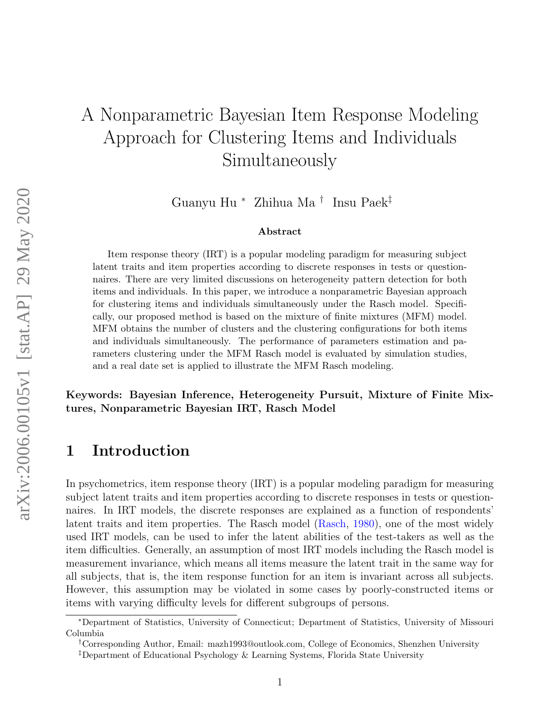# A Nonparametric Bayesian Item Response Modeling Approach for Clustering Items and Individuals Simultaneously

Guanyu Hu <sup>∗</sup> Zhihua Ma † Insu Paek‡

#### Abstract

Item response theory (IRT) is a popular modeling paradigm for measuring subject latent traits and item properties according to discrete responses in tests or questionnaires. There are very limited discussions on heterogeneity pattern detection for both items and individuals. In this paper, we introduce a nonparametric Bayesian approach for clustering items and individuals simultaneously under the Rasch model. Specifically, our proposed method is based on the mixture of finite mixtures (MFM) model. MFM obtains the number of clusters and the clustering configurations for both items and individuals simultaneously. The performance of parameters estimation and parameters clustering under the MFM Rasch model is evaluated by simulation studies, and a real date set is applied to illustrate the MFM Rasch modeling.

Keywords: Bayesian Inference, Heterogeneity Pursuit, Mixture of Finite Mixtures, Nonparametric Bayesian IRT, Rasch Model

# 1 Introduction

In psychometrics, item response theory (IRT) is a popular modeling paradigm for measuring subject latent traits and item properties according to discrete responses in tests or questionnaires. In IRT models, the discrete responses are explained as a function of respondents' latent traits and item properties. The Rasch model [\(Rasch,](#page-19-0) [1980\)](#page-19-0), one of the most widely used IRT models, can be used to infer the latent abilities of the test-takers as well as the item difficulties. Generally, an assumption of most IRT models including the Rasch model is measurement invariance, which means all items measure the latent trait in the same way for all subjects, that is, the item response function for an item is invariant across all subjects. However, this assumption may be violated in some cases by poorly-constructed items or items with varying difficulty levels for different subgroups of persons.

<sup>∗</sup>Department of Statistics, University of Connecticut; Department of Statistics, University of Missouri Columbia

<sup>†</sup>Corresponding Author, Email: mazh1993@outlook.com, College of Economics, Shenzhen University

<sup>‡</sup>Department of Educational Psychology & Learning Systems, Florida State University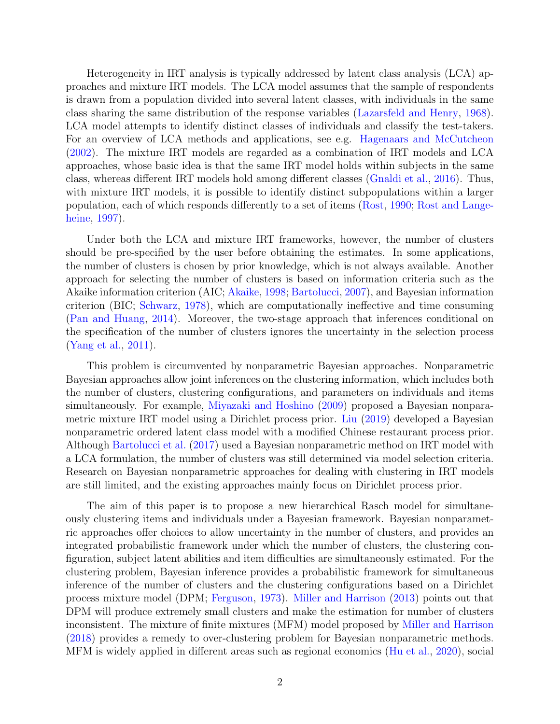Heterogeneity in IRT analysis is typically addressed by latent class analysis (LCA) approaches and mixture IRT models. The LCA model assumes that the sample of respondents is drawn from a population divided into several latent classes, with individuals in the same class sharing the same distribution of the response variables [\(Lazarsfeld and Henry,](#page-18-0) [1968\)](#page-18-0). LCA model attempts to identify distinct classes of individuals and classify the test-takers. For an overview of LCA methods and applications, see e.g. [Hagenaars and McCutcheon](#page-18-1) [\(2002\)](#page-18-1). The mixture IRT models are regarded as a combination of IRT models and LCA approaches, whose basic idea is that the same IRT model holds within subjects in the same class, whereas different IRT models hold among different classes [\(Gnaldi et al.,](#page-18-2) [2016\)](#page-18-2). Thus, with mixture IRT models, it is possible to identify distinct subpopulations within a larger population, each of which responds differently to a set of items [\(Rost,](#page-19-1) [1990;](#page-19-1) [Rost and Lange](#page-20-0)[heine,](#page-20-0) [1997\)](#page-20-0).

Under both the LCA and mixture IRT frameworks, however, the number of clusters should be pre-specified by the user before obtaining the estimates. In some applications, the number of clusters is chosen by prior knowledge, which is not always available. Another approach for selecting the number of clusters is based on information criteria such as the Akaike information criterion (AIC; [Akaike,](#page-18-3) [1998;](#page-18-3) [Bartolucci,](#page-18-4) [2007\)](#page-18-4), and Bayesian information criterion (BIC; [Schwarz,](#page-20-1) [1978\)](#page-20-1), which are computationally ineffective and time consuming [\(Pan and Huang,](#page-19-2) [2014\)](#page-19-2). Moreover, the two-stage approach that inferences conditional on the specification of the number of clusters ignores the uncertainty in the selection process [\(Yang et al.,](#page-20-2) [2011\)](#page-20-2).

This problem is circumvented by nonparametric Bayesian approaches. Nonparametric Bayesian approaches allow joint inferences on the clustering information, which includes both the number of clusters, clustering configurations, and parameters on individuals and items simultaneously. For example, [Miyazaki and Hoshino](#page-19-3) [\(2009\)](#page-19-3) proposed a Bayesian nonparametric mixture IRT model using a Dirichlet process prior. [Liu](#page-18-5) [\(2019\)](#page-18-5) developed a Bayesian nonparametric ordered latent class model with a modified Chinese restaurant process prior. Although [Bartolucci et al.](#page-18-6) [\(2017\)](#page-18-6) used a Bayesian nonparametric method on IRT model with a LCA formulation, the number of clusters was still determined via model selection criteria. Research on Bayesian nonparametric approaches for dealing with clustering in IRT models are still limited, and the existing approaches mainly focus on Dirichlet process prior.

The aim of this paper is to propose a new hierarchical Rasch model for simultaneously clustering items and individuals under a Bayesian framework. Bayesian nonparametric approaches offer choices to allow uncertainty in the number of clusters, and provides an integrated probabilistic framework under which the number of clusters, the clustering configuration, subject latent abilities and item difficulties are simultaneously estimated. For the clustering problem, Bayesian inference provides a probabilistic framework for simultaneous inference of the number of clusters and the clustering configurations based on a Dirichlet process mixture model (DPM; [Ferguson,](#page-18-7) [1973\)](#page-18-7). [Miller and Harrison](#page-19-4) [\(2013\)](#page-19-4) points out that DPM will produce extremely small clusters and make the estimation for number of clusters inconsistent. The mixture of finite mixtures (MFM) model proposed by [Miller and Harrison](#page-19-5) [\(2018\)](#page-19-5) provides a remedy to over-clustering problem for Bayesian nonparametric methods. MFM is widely applied in different areas such as regional economics [\(Hu et al.,](#page-18-8) [2020\)](#page-18-8), social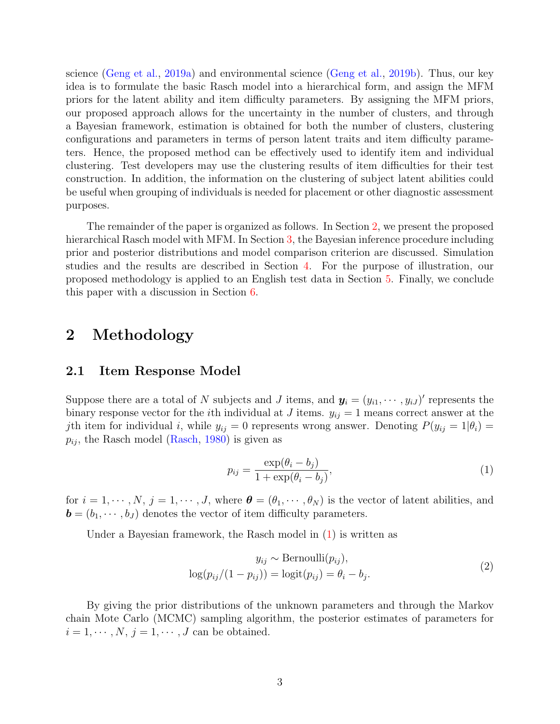science [\(Geng et al.,](#page-18-9) [2019a\)](#page-18-9) and environmental science [\(Geng et al.,](#page-18-10) [2019b\)](#page-18-10). Thus, our key idea is to formulate the basic Rasch model into a hierarchical form, and assign the MFM priors for the latent ability and item difficulty parameters. By assigning the MFM priors, our proposed approach allows for the uncertainty in the number of clusters, and through a Bayesian framework, estimation is obtained for both the number of clusters, clustering configurations and parameters in terms of person latent traits and item difficulty parameters. Hence, the proposed method can be effectively used to identify item and individual clustering. Test developers may use the clustering results of item difficulties for their test construction. In addition, the information on the clustering of subject latent abilities could be useful when grouping of individuals is needed for placement or other diagnostic assessment purposes.

The remainder of the paper is organized as follows. In Section [2,](#page-2-0) we present the proposed hierarchical Rasch model with MFM. In Section [3,](#page-5-0) the Bayesian inference procedure including prior and posterior distributions and model comparison criterion are discussed. Simulation studies and the results are described in Section [4.](#page-6-0) For the purpose of illustration, our proposed methodology is applied to an English test data in Section [5.](#page-12-0) Finally, we conclude this paper with a discussion in Section [6.](#page-16-0)

# <span id="page-2-0"></span>2 Methodology

#### 2.1 Item Response Model

Suppose there are a total of N subjects and J items, and  $y_i = (y_{i1}, \dots, y_{iJ})'$  represents the binary response vector for the *i*th individual at J items.  $y_{ij} = 1$  means correct answer at the jth item for individual i, while  $y_{ij} = 0$  represents wrong answer. Denoting  $P(y_{ij} = 1 | \theta_i) =$  $p_{ij}$ , the Rasch model [\(Rasch,](#page-19-0) [1980\)](#page-19-0) is given as

<span id="page-2-1"></span>
$$
p_{ij} = \frac{\exp(\theta_i - b_j)}{1 + \exp(\theta_i - b_j)},\tag{1}
$$

for  $i = 1, \dots, N, j = 1, \dots, J$ , where  $\boldsymbol{\theta} = (\theta_1, \dots, \theta_N)$  is the vector of latent abilities, and  $\mathbf{b} = (b_1, \dots, b_J)$  denotes the vector of item difficulty parameters.

Under a Bayesian framework, the Rasch model in [\(1\)](#page-2-1) is written as

$$
y_{ij} \sim \text{Bernoulli}(p_{ij}),
$$
  

$$
\log(p_{ij}/(1-p_{ij})) = \log(t_{ij}) = \theta_i - b_j.
$$
 (2)

By giving the prior distributions of the unknown parameters and through the Markov chain Mote Carlo (MCMC) sampling algorithm, the posterior estimates of parameters for  $i = 1, \dots, N, j = 1, \dots, J$  can be obtained.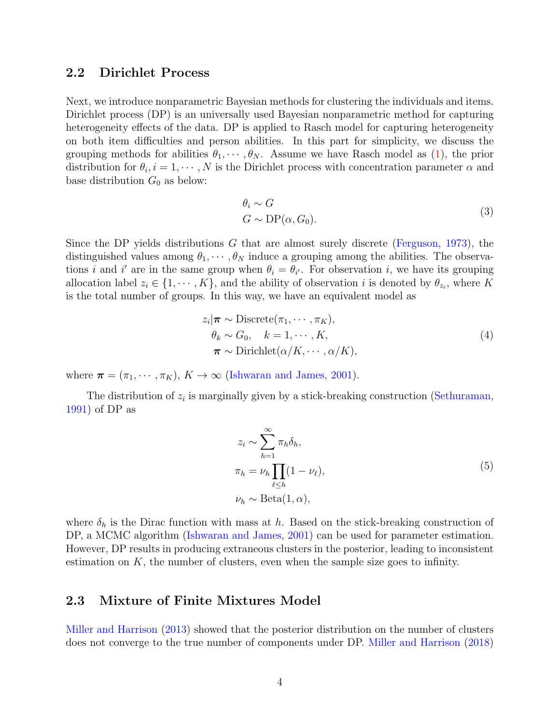#### 2.2 Dirichlet Process

Next, we introduce nonparametric Bayesian methods for clustering the individuals and items. Dirichlet process (DP) is an universally used Bayesian nonparametric method for capturing heterogeneity effects of the data. DP is applied to Rasch model for capturing heterogeneity on both item difficulties and person abilities. In this part for simplicity, we discuss the grouping methods for abilities  $\theta_1, \dots, \theta_N$ . Assume we have Rasch model as [\(1\)](#page-2-1), the prior distribution for  $\theta_i, i = 1, \dots, N$  is the Dirichlet process with concentration parameter  $\alpha$  and base distribution  $G_0$  as below:

$$
\theta_i \sim G
$$
  
\n
$$
G \sim \text{DP}(\alpha, G_0).
$$
\n(3)

Since the DP yields distributions  $G$  that are almost surely discrete [\(Ferguson,](#page-18-7) [1973\)](#page-18-7), the distinguished values among  $\theta_1, \dots, \theta_N$  induce a grouping among the abilities. The observations *i* and *i'* are in the same group when  $\theta_i = \theta_{i'}$ . For observation *i*, we have its grouping allocation label  $z_i \in \{1, \dots, K\}$ , and the ability of observation i is denoted by  $\theta_{z_i}$ , where K is the total number of groups. In this way, we have an equivalent model as

$$
z_i | \boldsymbol{\pi} \sim \text{Discrete}(\pi_1, \cdots, \pi_K),
$$
  
\n
$$
\theta_k \sim G_0, \quad k = 1, \cdots, K,
$$
  
\n
$$
\boldsymbol{\pi} \sim \text{Dirichlet}(\alpha/K, \cdots, \alpha/K),
$$
  
\n(4)

where  $\boldsymbol{\pi} = (\pi_1, \dots, \pi_K), K \to \infty$  [\(Ishwaran and James,](#page-18-11) [2001\)](#page-18-11).

<span id="page-3-0"></span>The distribution of  $z_i$  is marginally given by a stick-breaking construction [\(Sethuraman,](#page-20-3) [1991\)](#page-20-3) of DP as

$$
z_i \sim \sum_{h=1}^{\infty} \pi_h \delta_h,
$$
  
\n
$$
\pi_h = \nu_h \prod_{\ell \le h} (1 - \nu_\ell),
$$
  
\n
$$
\nu_h \sim \text{Beta}(1, \alpha),
$$
\n(5)

where  $\delta_h$  is the Dirac function with mass at h. Based on the stick-breaking construction of DP, a MCMC algorithm [\(Ishwaran and James,](#page-18-11) [2001\)](#page-18-11) can be used for parameter estimation. However, DP results in producing extraneous clusters in the posterior, leading to inconsistent estimation on  $K$ , the number of clusters, even when the sample size goes to infinity.

#### <span id="page-3-1"></span>2.3 Mixture of Finite Mixtures Model

[Miller and Harrison](#page-19-4) [\(2013\)](#page-19-4) showed that the posterior distribution on the number of clusters does not converge to the true number of components under DP. [Miller and Harrison](#page-19-5) [\(2018\)](#page-19-5)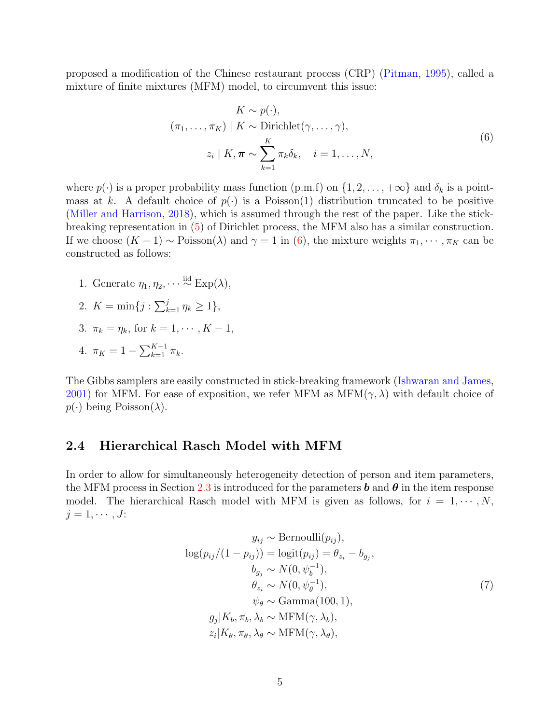proposed a modification of the Chinese restaurant process (CRP) [\(Pitman,](#page-19-6) [1995\)](#page-19-6), called a mixture of finite mixtures (MFM) model, to circumvent this issue:

<span id="page-4-0"></span>
$$
K \sim p(\cdot),
$$
  
\n
$$
(\pi_1, \dots, \pi_K) | K \sim \text{Dirichlet}(\gamma, \dots, \gamma),
$$
  
\n
$$
z_i | K, \pi \sim \sum_{k=1}^K \pi_k \delta_k, \quad i = 1, \dots, N,
$$
\n(6)

where  $p(\cdot)$  is a proper probability mass function (p.m.f) on  $\{1, 2, \ldots, +\infty\}$  and  $\delta_k$  is a pointmass at k. A default choice of  $p(\cdot)$  is a Poisson(1) distribution truncated to be positive [\(Miller and Harrison,](#page-19-5) [2018\)](#page-19-5), which is assumed through the rest of the paper. Like the stickbreaking representation in [\(5\)](#page-3-0) of Dirichlet process, the MFM also has a similar construction. If we choose  $(K-1) \sim \text{Poisson}(\lambda)$  and  $\gamma = 1$  in [\(6\)](#page-4-0), the mixture weights  $\pi_1, \cdots, \pi_K$  can be constructed as follows:

- 1. Generate  $\eta_1, \eta_2, \cdots \stackrel{\text{iid}}{\sim} \text{Exp}(\lambda),$
- 2.  $K = \min\{j : \sum_{k=1}^{j} \eta_k \ge 1\},\$
- 3.  $\pi_k = \eta_k$ , for  $k = 1, \dots, K 1$ ,
- 4.  $\pi_K = 1 \sum_{k=1}^{K-1} \pi_k$ .

The Gibbs samplers are easily constructed in stick-breaking framework [\(Ishwaran and James,](#page-18-11) [2001\)](#page-18-11) for MFM. For ease of exposition, we refer MFM as  $MFM(\gamma, \lambda)$  with default choice of  $p(\cdot)$  being Poisson( $\lambda$ ).

#### <span id="page-4-1"></span>2.4 Hierarchical Rasch Model with MFM

In order to allow for simultaneously heterogeneity detection of person and item parameters, the MFM process in Section [2.3](#page-3-1) is introduced for the parameters **b** and  $\theta$  in the item response model. The hierarchical Rasch model with MFM is given as follows, for  $i = 1, \dots, N$ ,  $j=1,\cdots,J$ :

$$
y_{ij} \sim \text{Bernoulli}(p_{ij}),
$$
  
\n
$$
\log(p_{ij}/(1 - p_{ij})) = \logit(p_{ij}) = \theta_{z_i} - b_{g_j},
$$
  
\n
$$
b_{g_j} \sim N(0, \psi_b^{-1}),
$$
  
\n
$$
\theta_{z_i} \sim N(0, \psi_{\theta}^{-1}),
$$
  
\n
$$
\psi_{\theta} \sim \text{Gamma}(100, 1),
$$
  
\n
$$
g_j|K_b, \pi_b, \lambda_b \sim \text{MFM}(\gamma, \lambda_b),
$$
  
\n
$$
z_i|K_{\theta}, \pi_{\theta}, \lambda_{\theta} \sim \text{MFM}(\gamma, \lambda_{\theta}),
$$
  
\n(7)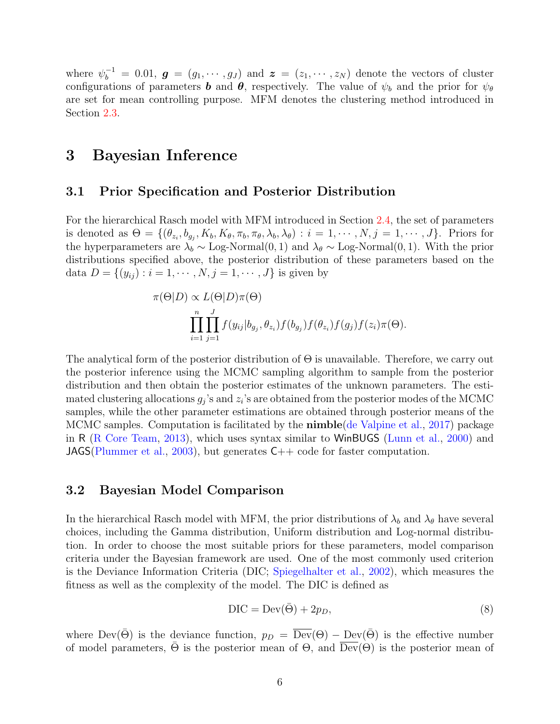where  $\psi_b^{-1} = 0.01$ ,  $g = (g_1, \dots, g_J)$  and  $z = (z_1, \dots, z_N)$  denote the vectors of cluster configurations of parameters **b** and  $\theta$ , respectively. The value of  $\psi_b$  and the prior for  $\psi_{\theta}$ are set for mean controlling purpose. MFM denotes the clustering method introduced in Section [2.3.](#page-3-1)

### <span id="page-5-0"></span>3 Bayesian Inference

#### 3.1 Prior Specification and Posterior Distribution

For the hierarchical Rasch model with MFM introduced in Section [2.4,](#page-4-1) the set of parameters is denoted as  $\Theta = \{(\theta_{z_i}, b_{g_j}, K_b, K_\theta, \pi_b, \pi_\theta, \lambda_b, \lambda_\theta) : i = 1, \cdots, N, j = 1, \cdots, J\}$ . Priors for the hyperparameters are  $\lambda_b \sim$  Log-Normal $(0, 1)$  and  $\lambda_\theta \sim$  Log-Normal $(0, 1)$ . With the prior distributions specified above, the posterior distribution of these parameters based on the data  $D = \{(y_{ij}) : i = 1, \dots, N, j = 1, \dots, J\}$  is given by

$$
\pi(\Theta|D) \propto L(\Theta|D)\pi(\Theta)
$$
  

$$
\prod_{i=1}^{n} \prod_{j=1}^{J} f(y_{ij}|b_{g_j}, \theta_{z_i}) f(b_{g_j}) f(\theta_{z_i}) f(g_j) f(z_i)\pi(\Theta).
$$

The analytical form of the posterior distribution of  $\Theta$  is unavailable. Therefore, we carry out the posterior inference using the MCMC sampling algorithm to sample from the posterior distribution and then obtain the posterior estimates of the unknown parameters. The estimated clustering allocations  $g_j$ 's and  $z_i$ 's are obtained from the posterior modes of the MCMC samples, while the other parameter estimations are obtained through posterior means of the MCMC samples. Computation is facilitated by the **nimble** [\(de Valpine et al.,](#page-18-12) [2017\)](#page-18-12) package in R [\(R Core Team,](#page-19-7) [2013\)](#page-19-7), which uses syntax similar to WinBUGS [\(Lunn et al.,](#page-19-8) [2000\)](#page-19-8) and JAGS[\(Plummer et al.,](#page-19-9) [2003\)](#page-19-9), but generates  $C++$  code for faster computation.

#### 3.2 Bayesian Model Comparison

In the hierarchical Rasch model with MFM, the prior distributions of  $\lambda_b$  and  $\lambda_\theta$  have several choices, including the Gamma distribution, Uniform distribution and Log-normal distribution. In order to choose the most suitable priors for these parameters, model comparison criteria under the Bayesian framework are used. One of the most commonly used criterion is the Deviance Information Criteria (DIC; [Spiegelhalter et al.,](#page-20-4) [2002\)](#page-20-4), which measures the fitness as well as the complexity of the model. The DIC is defined as

$$
DIC = Dev(\bar{\Theta}) + 2p_D,
$$
\n(8)

where  $\text{Dev}(\bar{\Theta})$  is the deviance function,  $p_D = \overline{\text{Dev}}(\Theta) - \text{Dev}(\bar{\Theta})$  is the effective number of model parameters,  $\overline{\Theta}$  is the posterior mean of  $\Theta$ , and  $\overline{\text{Dev}}(\Theta)$  is the posterior mean of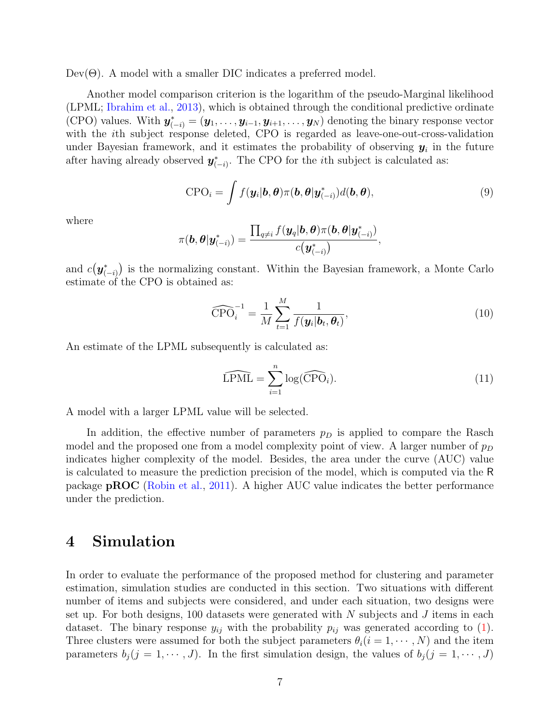$Dev(Θ)$ . A model with a smaller DIC indicates a preferred model.

Another model comparison criterion is the logarithm of the pseudo-Marginal likelihood (LPML; [Ibrahim et al.,](#page-18-13) [2013\)](#page-18-13), which is obtained through the conditional predictive ordinate (CPO) values. With  $y_{(-i)}^* = (y_1, \ldots, y_{i-1}, y_{i+1}, \ldots, y_N)$  denoting the binary response vector with the ith subject response deleted, CPO is regarded as leave-one-out-cross-validation under Bayesian framework, and it estimates the probability of observing  $y_i$  in the future after having already observed  $y_{(-i)}^*$ . The CPO for the *i*th subject is calculated as:

$$
CPOi = \int f(\mathbf{y}_i | \mathbf{b}, \boldsymbol{\theta}) \pi(\mathbf{b}, \boldsymbol{\theta} | \mathbf{y}_{(-i)}^*) d(\mathbf{b}, \boldsymbol{\theta}),
$$
\n(9)

where

$$
\pi(\boldsymbol{b},\boldsymbol{\theta}|\boldsymbol{y}^*_{(-i)})=\frac{\prod_{q\neq i}f(\boldsymbol{y}_q|\boldsymbol{b},\boldsymbol{\theta})\pi(\boldsymbol{b},\boldsymbol{\theta}|\boldsymbol{y}^*_{(-i)})}{c\big(\boldsymbol{y}^*_{(-i)}\big)},
$$

and  $c(\bm{y}_{(-i)}^*)$  is the normalizing constant. Within the Bayesian framework, a Monte Carlo estimate of the CPO is obtained as:

$$
\widehat{\text{CPO}}_i^{-1} = \frac{1}{M} \sum_{t=1}^M \frac{1}{f(\mathbf{y}_i | \mathbf{b}_t, \boldsymbol{\theta}_t)},\tag{10}
$$

An estimate of the LPML subsequently is calculated as:

$$
\widehat{\text{LPML}} = \sum_{i=1}^{n} \log(\widehat{\text{CPO}}_i). \tag{11}
$$

A model with a larger LPML value will be selected.

In addition, the effective number of parameters  $p<sub>D</sub>$  is applied to compare the Rasch model and the proposed one from a model complexity point of view. A larger number of  $p<sub>D</sub>$ indicates higher complexity of the model. Besides, the area under the curve (AUC) value is calculated to measure the prediction precision of the model, which is computed via the R package pROC [\(Robin et al.,](#page-19-10) [2011\)](#page-19-10). A higher AUC value indicates the better performance under the prediction.

# <span id="page-6-0"></span>4 Simulation

In order to evaluate the performance of the proposed method for clustering and parameter estimation, simulation studies are conducted in this section. Two situations with different number of items and subjects were considered, and under each situation, two designs were set up. For both designs, 100 datasets were generated with  $N$  subjects and  $J$  items in each dataset. The binary response  $y_{ij}$  with the probability  $p_{ij}$  was generated according to [\(1\)](#page-2-1). Three clusters were assumed for both the subject parameters  $\theta_i$  ( $i = 1, \dots, N$ ) and the item parameters  $b_i (j = 1, \dots, J)$ . In the first simulation design, the values of  $b_i (j = 1, \dots, J)$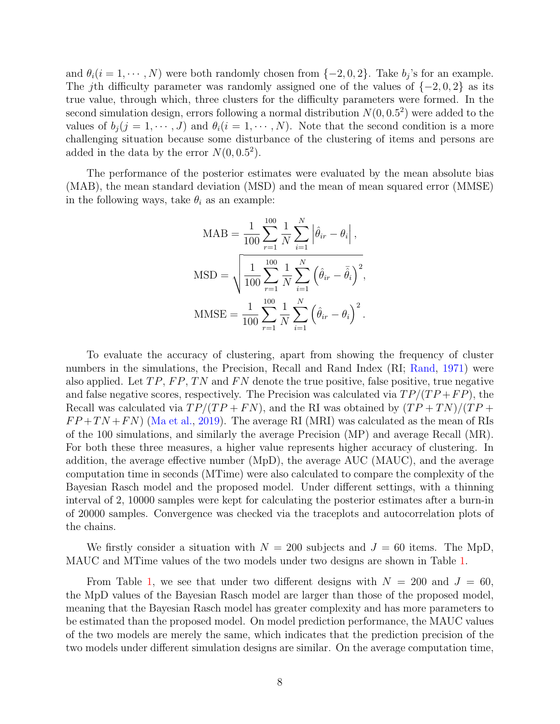and  $\theta_i (i = 1, \dots, N)$  were both randomly chosen from  $\{-2, 0, 2\}$ . Take  $b_j$ 's for an example. The jth difficulty parameter was randomly assigned one of the values of  $\{-2,0,2\}$  as its true value, through which, three clusters for the difficulty parameters were formed. In the second simulation design, errors following a normal distribution  $N(0, 0.5^2)$  were added to the values of  $b_i (j = 1, \dots, J)$  and  $\theta_i (i = 1, \dots, N)$ . Note that the second condition is a more challenging situation because some disturbance of the clustering of items and persons are added in the data by the error  $N(0, 0.5^2)$ .

The performance of the posterior estimates were evaluated by the mean absolute bias (MAB), the mean standard deviation (MSD) and the mean of mean squared error (MMSE) in the following ways, take  $\theta_i$  as an example:

$$
\text{MAB} = \frac{1}{100} \sum_{r=1}^{100} \frac{1}{N} \sum_{i=1}^{N} \left| \hat{\theta}_{ir} - \theta_{i} \right|,
$$
  

$$
\text{MSD} = \sqrt{\frac{1}{100} \sum_{r=1}^{100} \frac{1}{N} \sum_{i=1}^{N} \left( \hat{\theta}_{ir} - \bar{\hat{\theta}}_{i} \right)^{2}},
$$
  

$$
\text{MMSE} = \frac{1}{100} \sum_{r=1}^{100} \frac{1}{N} \sum_{i=1}^{N} \left( \hat{\theta}_{ir} - \theta_{i} \right)^{2}.
$$

To evaluate the accuracy of clustering, apart from showing the frequency of cluster numbers in the simulations, the Precision, Recall and Rand Index (RI; [Rand,](#page-19-11) [1971\)](#page-19-11) were also applied. Let  $TP$ ,  $FP$ ,  $TN$  and  $FN$  denote the true positive, false positive, true negative and false negative scores, respectively. The Precision was calculated via  $TP/(TP + FP)$ , the Recall was calculated via  $TP/(TP + FN)$ , and the RI was obtained by  $(TP + TN)/(TP +$  $FP + TN + FN$  [\(Ma et al.,](#page-19-12) [2019\)](#page-19-12). The average RI (MRI) was calculated as the mean of RIs of the 100 simulations, and similarly the average Precision (MP) and average Recall (MR). For both these three measures, a higher value represents higher accuracy of clustering. In addition, the average effective number (MpD), the average AUC (MAUC), and the average computation time in seconds (MTime) were also calculated to compare the complexity of the Bayesian Rasch model and the proposed model. Under different settings, with a thinning interval of 2, 10000 samples were kept for calculating the posterior estimates after a burn-in of 20000 samples. Convergence was checked via the traceplots and autocorrelation plots of the chains.

We firstly consider a situation with  $N = 200$  subjects and  $J = 60$  items. The MpD, MAUC and MTime values of the two models under two designs are shown in Table [1.](#page-8-0)

From Table [1,](#page-8-0) we see that under two different designs with  $N = 200$  and  $J = 60$ , the MpD values of the Bayesian Rasch model are larger than those of the proposed model, meaning that the Bayesian Rasch model has greater complexity and has more parameters to be estimated than the proposed model. On model prediction performance, the MAUC values of the two models are merely the same, which indicates that the prediction precision of the two models under different simulation designs are similar. On the average computation time,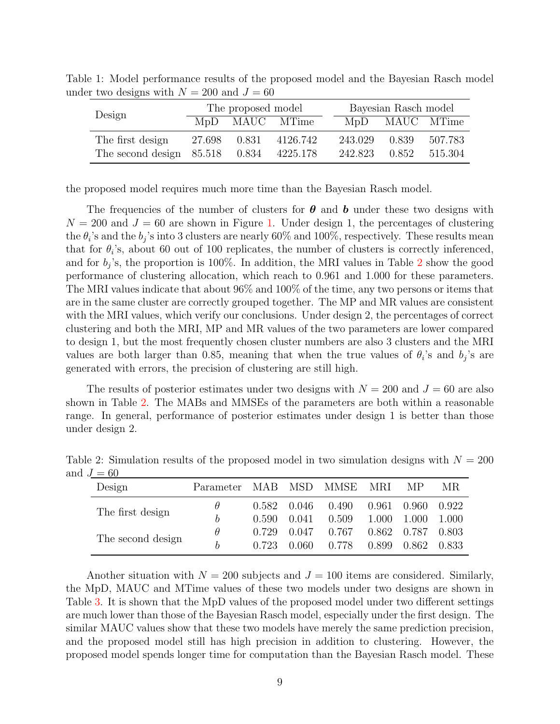| Design                           | The proposed model |  |                |  | Bayesian Rasch model |            |         |  |
|----------------------------------|--------------------|--|----------------|--|----------------------|------------|---------|--|
|                                  |                    |  | MpD MAUC MTime |  | MDD                  | MAUC MTime |         |  |
| The first design                 | 27.698 0.831       |  | 4126.742       |  | 243.029              | 0.839      | 507.783 |  |
| The second design $85.518$ 0.834 |                    |  | 4225.178       |  | 242.823              | 0.852      | 515.304 |  |

<span id="page-8-0"></span>Table 1: Model performance results of the proposed model and the Bayesian Rasch model under two designs with  $N = 200$  and  $J = 60$ 

the proposed model requires much more time than the Bayesian Rasch model.

The frequencies of the number of clusters for  $\theta$  and b under these two designs with  $N = 200$  and  $J = 60$  are shown in Figure [1.](#page-9-0) Under design 1, the percentages of clustering the  $\theta_i$ 's and the  $b_j$ 's into 3 clusters are nearly 60% and 100%, respectively. These results mean that for  $\theta_i$ 's, about 60 out of 100 replicates, the number of clusters is correctly inferenced, and for  $b_j$ 's, the proportion is 100%. In addition, the MRI values in Table [2](#page-8-1) show the good performance of clustering allocation, which reach to 0.961 and 1.000 for these parameters. The MRI values indicate that about 96% and 100% of the time, any two persons or items that are in the same cluster are correctly grouped together. The MP and MR values are consistent with the MRI values, which verify our conclusions. Under design 2, the percentages of correct clustering and both the MRI, MP and MR values of the two parameters are lower compared to design 1, but the most frequently chosen cluster numbers are also 3 clusters and the MRI values are both larger than 0.85, meaning that when the true values of  $\theta_i$ 's and  $b_j$ 's are generated with errors, the precision of clustering are still high.

The results of posterior estimates under two designs with  $N = 200$  and  $J = 60$  are also shown in Table [2.](#page-8-1) The MABs and MMSEs of the parameters are both within a reasonable range. In general, performance of posterior estimates under design 1 is better than those under design 2.

<span id="page-8-1"></span>Table 2: Simulation results of the proposed model in two simulation designs with  $N = 200$ and  $J = 60$ 

| $\sim$ $\sigma$   |                            |       |                     |       |       |               |       |
|-------------------|----------------------------|-------|---------------------|-------|-------|---------------|-------|
| Design            | Parameter MAB MSD MMSE MRI |       |                     |       |       | MP.           | MR.   |
| The first design  | $\theta$                   |       | $0.582 \quad 0.046$ | 0.490 | 0.961 | -0.960-       | 0.922 |
|                   | b                          | 0.590 | 0.041               | 0.509 | 1.000 | 1.000         | 1.000 |
|                   | $\theta$                   | 0.729 | 0.047               | 0.767 |       | $0.862$ 0.787 | 0.803 |
| The second design | h                          | 0.723 | 0.060               | 0.778 | 0.899 | 0.862         | 0.833 |

Another situation with  $N = 200$  subjects and  $J = 100$  items are considered. Similarly, the MpD, MAUC and MTime values of these two models under two designs are shown in Table [3.](#page-10-0) It is shown that the MpD values of the proposed model under two different settings are much lower than those of the Bayesian Rasch model, especially under the first design. The similar MAUC values show that these two models have merely the same prediction precision, and the proposed model still has high precision in addition to clustering. However, the proposed model spends longer time for computation than the Bayesian Rasch model. These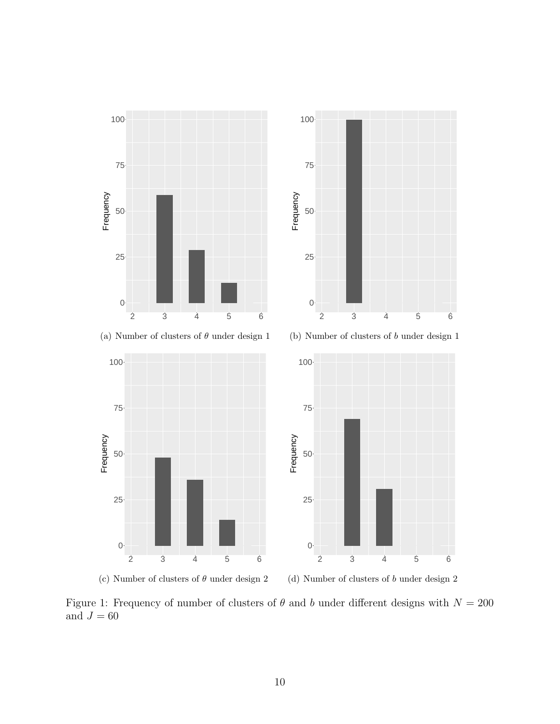

<span id="page-9-0"></span>Figure 1: Frequency of number of clusters of  $\theta$  and b under different designs with  $N = 200$ and  $J=60\,$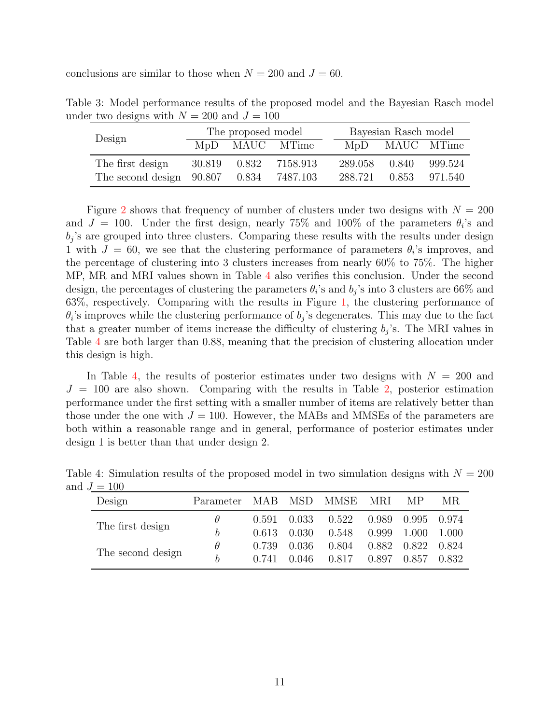conclusions are similar to those when  $N = 200$  and  $J = 60$ .

<span id="page-10-0"></span>Table 3: Model performance results of the proposed model and the Bayesian Rasch model under two designs with  $N = 200$  and  $J = 100$ 

| Design                           | The proposed model |       |                |  | Bayesian Rasch model |                |           |  |
|----------------------------------|--------------------|-------|----------------|--|----------------------|----------------|-----------|--|
|                                  |                    |       | MpD MAUC MTime |  |                      | MpD MAUC MTime |           |  |
| The first design                 | 30.819             | 0.832 | 7158.913       |  | 289.058              | 0.840          | 999.524   |  |
| The second design $90.807$ 0.834 |                    |       | 7487.103       |  | 288.721              | 0.853          | - 971.540 |  |

Figure [2](#page-11-0) shows that frequency of number of clusters under two designs with  $N = 200$ and  $J = 100$ . Under the first design, nearly 75% and 100% of the parameters  $\theta_i$ 's and  $b_j$ 's are grouped into three clusters. Comparing these results with the results under design 1 with  $J = 60$ , we see that the clustering performance of parameters  $\theta_i$ 's improves, and the percentage of clustering into 3 clusters increases from nearly 60% to 75%. The higher MP, MR and MRI values shown in Table [4](#page-10-1) also verifies this conclusion. Under the second design, the percentages of clustering the parameters  $\theta_i$ 's and  $b_j$ 's into 3 clusters are 66% and 63%, respectively. Comparing with the results in Figure [1,](#page-9-0) the clustering performance of  $\theta_i$ 's improves while the clustering performance of  $b_j$ 's degenerates. This may due to the fact that a greater number of items increase the difficulty of clustering  $b_j$ 's. The MRI values in Table [4](#page-10-1) are both larger than 0.88, meaning that the precision of clustering allocation under this design is high.

In Table [4,](#page-10-1) the results of posterior estimates under two designs with  $N = 200$  and  $J = 100$  are also shown. Comparing with the results in Table [2,](#page-8-1) posterior estimation performance under the first setting with a smaller number of items are relatively better than those under the one with  $J = 100$ . However, the MABs and MMSEs of the parameters are both within a reasonable range and in general, performance of posterior estimates under design 1 is better than that under design 2.

|                   | , — IVV  |                        |                     |       |       |       |         |       |
|-------------------|----------|------------------------|---------------------|-------|-------|-------|---------|-------|
|                   | Design   | Parameter MAB MSD MMSE |                     |       |       | MRI.  | MP.     | MR.   |
| The first design  | $\theta$ |                        | $0.591 \quad 0.033$ | 0.522 | 0.989 | 0.995 | 0.974   |       |
|                   | h        | 0.613                  | 0.030               | 0.548 | 0.999 | 1.000 | - 1.000 |       |
| The second design | $\theta$ | 0.739                  | 0.036               | 0.804 | 0.882 | 0.822 | 0.824   |       |
|                   |          | h                      | 0.741               | 0.046 | 0.817 | 0.897 | 0.857   | 0.832 |
|                   |          |                        |                     |       |       |       |         |       |

<span id="page-10-1"></span>Table 4: Simulation results of the proposed model in two simulation designs with  $N = 200$ and  $J = 100$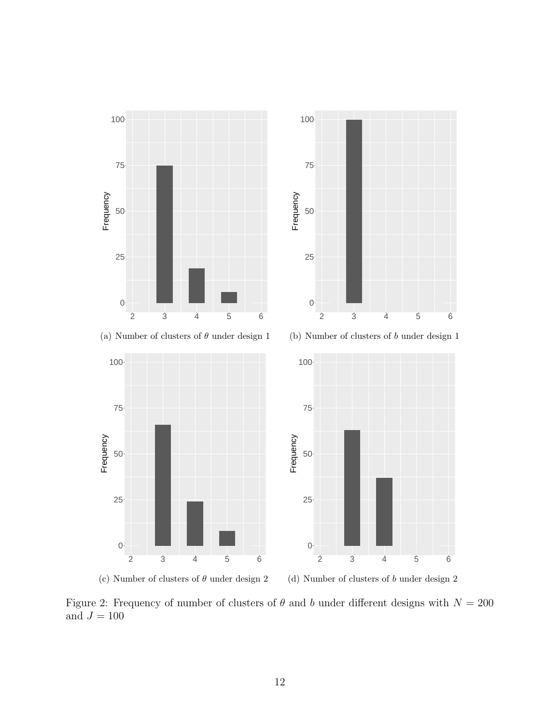

<span id="page-11-0"></span>Figure 2: Frequency of number of clusters of  $\theta$  and b under different designs with  $N = 200$ and  $J=100\,$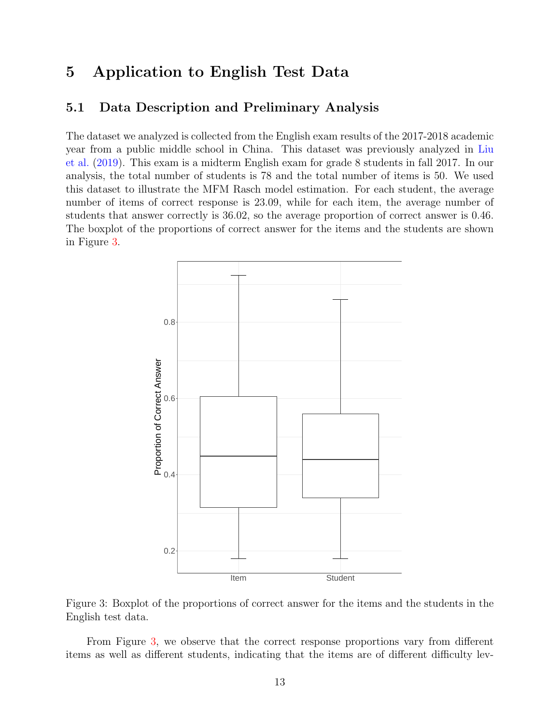# <span id="page-12-0"></span>5 Application to English Test Data

### 5.1 Data Description and Preliminary Analysis

The dataset we analyzed is collected from the English exam results of the 2017-2018 academic year from a public middle school in China. This dataset was previously analyzed in [Liu](#page-19-13) [et al.](#page-19-13) [\(2019\)](#page-19-13). This exam is a midterm English exam for grade 8 students in fall 2017. In our analysis, the total number of students is 78 and the total number of items is 50. We used this dataset to illustrate the MFM Rasch model estimation. For each student, the average number of items of correct response is 23.09, while for each item, the average number of students that answer correctly is 36.02, so the average proportion of correct answer is 0.46. The boxplot of the proportions of correct answer for the items and the students are shown in Figure [3.](#page-12-1)



<span id="page-12-1"></span>Figure 3: Boxplot of the proportions of correct answer for the items and the students in the English test data.

From Figure [3,](#page-12-1) we observe that the correct response proportions vary from different items as well as different students, indicating that the items are of different difficulty lev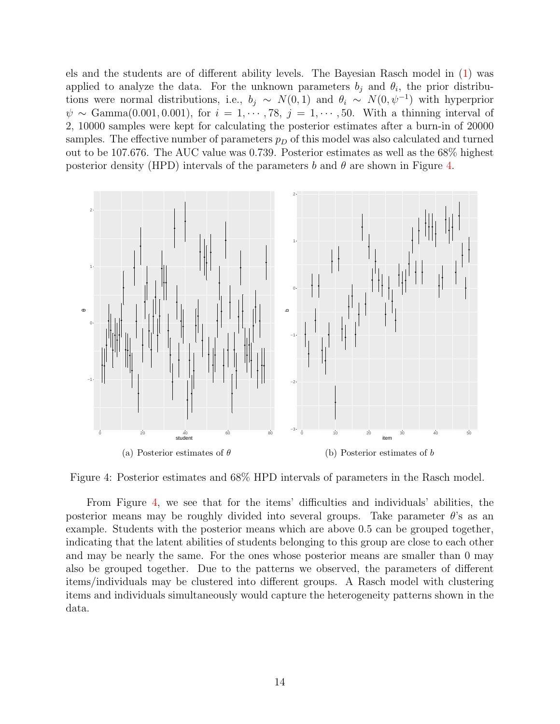els and the students are of different ability levels. The Bayesian Rasch model in [\(1\)](#page-2-1) was applied to analyze the data. For the unknown parameters  $b_j$  and  $\theta_i$ , the prior distributions were normal distributions, i.e.,  $b_j \sim N(0, 1)$  and  $\theta_i \sim N(0, \psi^{-1})$  with hyperprior  $\psi \sim \text{Gamma}(0.001, 0.001), \text{ for } i = 1, \cdots, 78, j = 1, \cdots, 50.$  With a thinning interval of 2, 10000 samples were kept for calculating the posterior estimates after a burn-in of 20000 samples. The effective number of parameters  $p<sub>D</sub>$  of this model was also calculated and turned out to be 107.676. The AUC value was 0.739. Posterior estimates as well as the 68% highest posterior density (HPD) intervals of the parameters b and  $\theta$  are shown in Figure [4.](#page-13-0)



<span id="page-13-0"></span>Figure 4: Posterior estimates and 68% HPD intervals of parameters in the Rasch model.

From Figure [4,](#page-13-0) we see that for the items' difficulties and individuals' abilities, the posterior means may be roughly divided into several groups. Take parameter  $\theta$ 's as an example. Students with the posterior means which are above 0.5 can be grouped together, indicating that the latent abilities of students belonging to this group are close to each other and may be nearly the same. For the ones whose posterior means are smaller than 0 may also be grouped together. Due to the patterns we observed, the parameters of different items/individuals may be clustered into different groups. A Rasch model with clustering items and individuals simultaneously would capture the heterogeneity patterns shown in the data.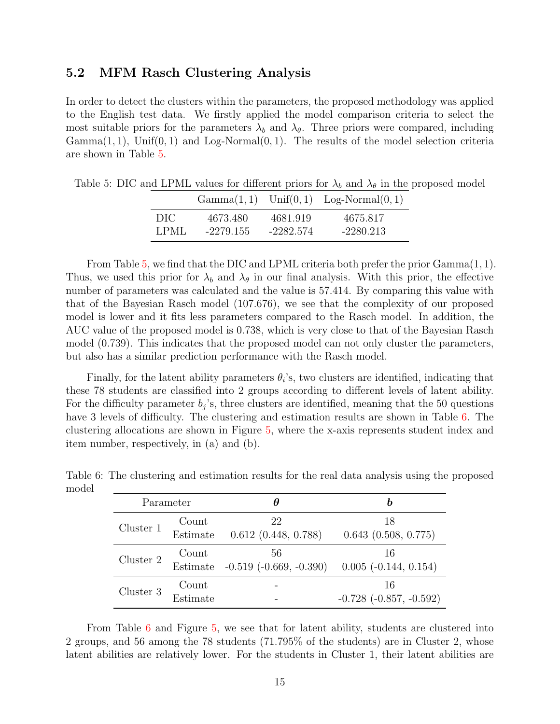#### 5.2 MFM Rasch Clustering Analysis

In order to detect the clusters within the parameters, the proposed methodology was applied to the English test data. We firstly applied the model comparison criteria to select the most suitable priors for the parameters  $\lambda_b$  and  $\lambda_\theta$ . Three priors were compared, including  $Gamma(1, 1)$ , Unif $(0, 1)$  and Log-Normal $(0, 1)$ . The results of the model selection criteria are shown in Table [5.](#page-14-0)

 $Gamma(1, 1)$  Unif $(0, 1)$  Log-Normal $(0, 1)$ DIC 4673.480 4681.919 4675.817

<span id="page-14-0"></span>Table 5: DIC and LPML values for different priors for  $\lambda_b$  and  $\lambda_\theta$  in the proposed model

LPML -2279.155 -2282.574 -2280.213

From Table [5,](#page-14-0) we find that the DIC and LPML criteria both prefer the prior Gamma(1, 1). Thus, we used this prior for  $\lambda_b$  and  $\lambda_\theta$  in our final analysis. With this prior, the effective number of parameters was calculated and the value is 57.414. By comparing this value with that of the Bayesian Rasch model (107.676), we see that the complexity of our proposed model is lower and it fits less parameters compared to the Rasch model. In addition, the AUC value of the proposed model is 0.738, which is very close to that of the Bayesian Rasch model (0.739). This indicates that the proposed model can not only cluster the parameters, but also has a similar prediction performance with the Rasch model.

Finally, for the latent ability parameters  $\theta_i$ 's, two clusters are identified, indicating that these 78 students are classified into 2 groups according to different levels of latent ability. For the difficulty parameter  $b_j$ 's, three clusters are identified, meaning that the 50 questions have 3 levels of difficulty. The clustering and estimation results are shown in Table [6.](#page-14-1) The clustering allocations are shown in Figure [5,](#page-15-0) where the x-axis represents student index and item number, respectively, in (a) and (b).

|           | Parameter         | Η                           |                                   |
|-----------|-------------------|-----------------------------|-----------------------------------|
| Cluster 1 | Count             | 22                          | 18                                |
|           | Estimate          | 0.612(0.448, 0.788)         | $0.643$ $(0.508, 0.775)$          |
| Cluster 2 | Count             | 56                          | 16                                |
|           | Estimate          | $-0.519$ $(-0.669, -0.390)$ | $0.005$ ( $-0.144$ , $0.154$ )    |
| Cluster 3 | Count<br>Estimate |                             | 16<br>$-0.728$ $(-0.857, -0.592)$ |

<span id="page-14-1"></span>Table 6: The clustering and estimation results for the real data analysis using the proposed model

From Table [6](#page-14-1) and Figure [5,](#page-15-0) we see that for latent ability, students are clustered into 2 groups, and 56 among the 78 students (71.795% of the students) are in Cluster 2, whose latent abilities are relatively lower. For the students in Cluster 1, their latent abilities are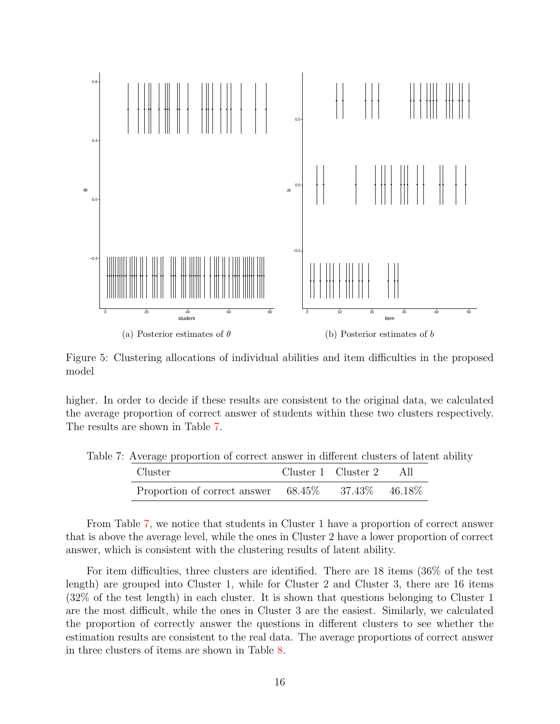

Figure 5: Clustering allocations of individual abilities and item difficulties in the proposed model

higher. In order to decide if these results are consistent to the original data, we calculated the average proportion of correct answer of students within these two clusters respectively. The results are shown in Table [7.](#page-15-1)

<span id="page-15-1"></span>Table 7: Average proportion of correct answer in different clusters of latent ability

<span id="page-15-0"></span>

| Cluster                                                    | Cluster 1 Cluster 2 | AII |
|------------------------------------------------------------|---------------------|-----|
| Proportion of correct answer $68.45\%$ $37.43\%$ $46.18\%$ |                     |     |

From Table [7,](#page-15-1) we notice that students in Cluster 1 have a proportion of correct answer that is above the average level, while the ones in Cluster 2 have a lower proportion of correct answer, which is consistent with the clustering results of latent ability.

For item difficulties, three clusters are identified. There are 18 items (36% of the test length) are grouped into Cluster 1, while for Cluster 2 and Cluster 3, there are 16 items (32% of the test length) in each cluster. It is shown that questions belonging to Cluster 1 are the most difficult, while the ones in Cluster 3 are the easiest. Similarly, we calculated the proportion of correctly answer the questions in different clusters to see whether the estimation results are consistent to the real data. The average proportions of correct answer in three clusters of items are shown in Table [8.](#page-16-1)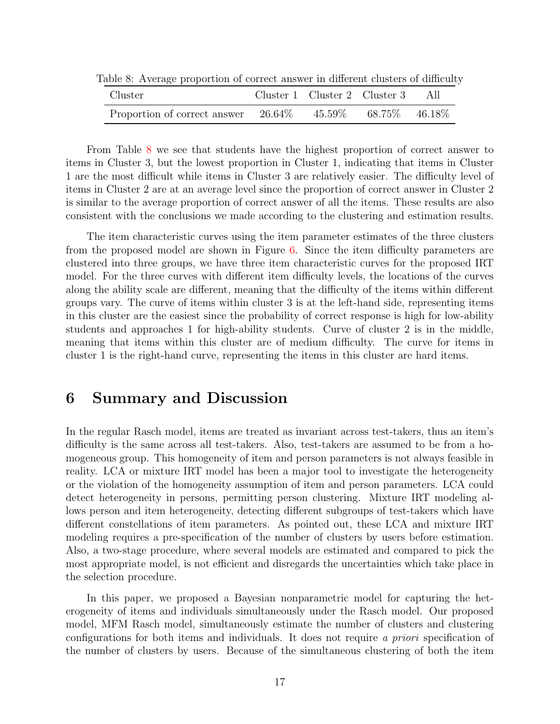| $\cdots$<br>Cluster                                                  |  | Cluster 1 Cluster 2 Cluster 3 | - A II |
|----------------------------------------------------------------------|--|-------------------------------|--------|
| Proportion of correct answer $26.64\%$ $45.59\%$ $68.75\%$ $46.18\%$ |  |                               |        |

<span id="page-16-1"></span>Table 8: Average proportion of correct answer in different clusters of difficulty

From Table [8](#page-16-1) we see that students have the highest proportion of correct answer to items in Cluster 3, but the lowest proportion in Cluster 1, indicating that items in Cluster 1 are the most difficult while items in Cluster 3 are relatively easier. The difficulty level of items in Cluster 2 are at an average level since the proportion of correct answer in Cluster 2 is similar to the average proportion of correct answer of all the items. These results are also consistent with the conclusions we made according to the clustering and estimation results.

The item characteristic curves using the item parameter estimates of the three clusters from the proposed model are shown in Figure  $6$ . Since the item difficulty parameters are clustered into three groups, we have three item characteristic curves for the proposed IRT model. For the three curves with different item difficulty levels, the locations of the curves along the ability scale are different, meaning that the difficulty of the items within different groups vary. The curve of items within cluster 3 is at the left-hand side, representing items in this cluster are the easiest since the probability of correct response is high for low-ability students and approaches 1 for high-ability students. Curve of cluster 2 is in the middle, meaning that items within this cluster are of medium difficulty. The curve for items in cluster 1 is the right-hand curve, representing the items in this cluster are hard items.

# <span id="page-16-0"></span>6 Summary and Discussion

In the regular Rasch model, items are treated as invariant across test-takers, thus an item's difficulty is the same across all test-takers. Also, test-takers are assumed to be from a homogeneous group. This homogeneity of item and person parameters is not always feasible in reality. LCA or mixture IRT model has been a major tool to investigate the heterogeneity or the violation of the homogeneity assumption of item and person parameters. LCA could detect heterogeneity in persons, permitting person clustering. Mixture IRT modeling allows person and item heterogeneity, detecting different subgroups of test-takers which have different constellations of item parameters. As pointed out, these LCA and mixture IRT modeling requires a pre-specification of the number of clusters by users before estimation. Also, a two-stage procedure, where several models are estimated and compared to pick the most appropriate model, is not efficient and disregards the uncertainties which take place in the selection procedure.

In this paper, we proposed a Bayesian nonparametric model for capturing the heterogeneity of items and individuals simultaneously under the Rasch model. Our proposed model, MFM Rasch model, simultaneously estimate the number of clusters and clustering configurations for both items and individuals. It does not require a priori specification of the number of clusters by users. Because of the simultaneous clustering of both the item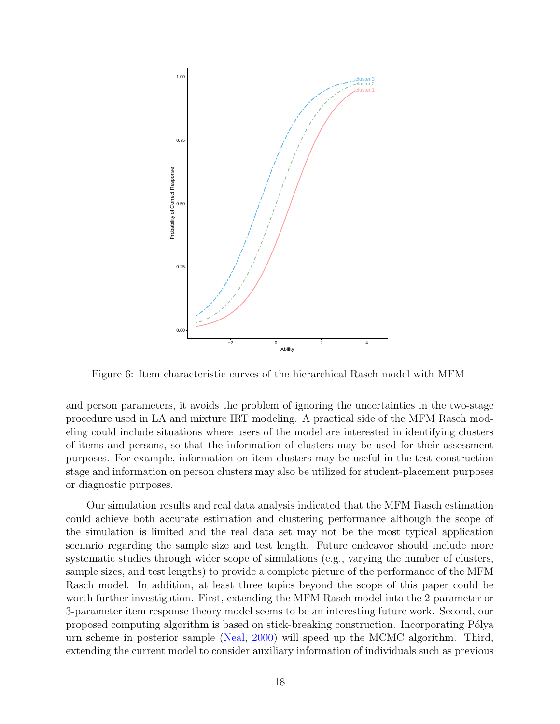

<span id="page-17-0"></span>Figure 6: Item characteristic curves of the hierarchical Rasch model with MFM

and person parameters, it avoids the problem of ignoring the uncertainties in the two-stage procedure used in LA and mixture IRT modeling. A practical side of the MFM Rasch modeling could include situations where users of the model are interested in identifying clusters of items and persons, so that the information of clusters may be used for their assessment purposes. For example, information on item clusters may be useful in the test construction stage and information on person clusters may also be utilized for student-placement purposes or diagnostic purposes.

Our simulation results and real data analysis indicated that the MFM Rasch estimation could achieve both accurate estimation and clustering performance although the scope of the simulation is limited and the real data set may not be the most typical application scenario regarding the sample size and test length. Future endeavor should include more systematic studies through wider scope of simulations (e.g., varying the number of clusters, sample sizes, and test lengths) to provide a complete picture of the performance of the MFM Rasch model. In addition, at least three topics beyond the scope of this paper could be worth further investigation. First, extending the MFM Rasch model into the 2-parameter or 3-parameter item response theory model seems to be an interesting future work. Second, our proposed computing algorithm is based on stick-breaking construction. Incorporating Pólya urn scheme in posterior sample [\(Neal,](#page-19-14) [2000\)](#page-19-14) will speed up the MCMC algorithm. Third, extending the current model to consider auxiliary information of individuals such as previous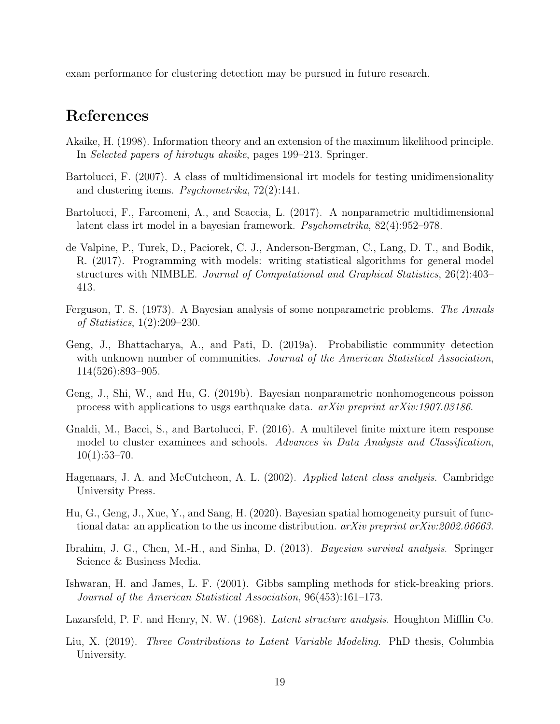exam performance for clustering detection may be pursued in future research.

# References

- <span id="page-18-3"></span>Akaike, H. (1998). Information theory and an extension of the maximum likelihood principle. In Selected papers of hirotugu akaike, pages 199–213. Springer.
- <span id="page-18-4"></span>Bartolucci, F. (2007). A class of multidimensional irt models for testing unidimensionality and clustering items. Psychometrika, 72(2):141.
- <span id="page-18-6"></span>Bartolucci, F., Farcomeni, A., and Scaccia, L. (2017). A nonparametric multidimensional latent class irt model in a bayesian framework. Psychometrika, 82(4):952–978.
- <span id="page-18-12"></span>de Valpine, P., Turek, D., Paciorek, C. J., Anderson-Bergman, C., Lang, D. T., and Bodik, R. (2017). Programming with models: writing statistical algorithms for general model structures with NIMBLE. Journal of Computational and Graphical Statistics, 26(2):403– 413.
- <span id="page-18-7"></span>Ferguson, T. S. (1973). A Bayesian analysis of some nonparametric problems. The Annals of Statistics, 1(2):209–230.
- <span id="page-18-9"></span>Geng, J., Bhattacharya, A., and Pati, D. (2019a). Probabilistic community detection with unknown number of communities. Journal of the American Statistical Association, 114(526):893–905.
- <span id="page-18-10"></span>Geng, J., Shi, W., and Hu, G. (2019b). Bayesian nonparametric nonhomogeneous poisson process with applications to usgs earthquake data. arXiv preprint arXiv:1907.03186.
- <span id="page-18-2"></span>Gnaldi, M., Bacci, S., and Bartolucci, F. (2016). A multilevel finite mixture item response model to cluster examinees and schools. Advances in Data Analysis and Classification,  $10(1):53-70.$
- <span id="page-18-1"></span>Hagenaars, J. A. and McCutcheon, A. L. (2002). Applied latent class analysis. Cambridge University Press.
- <span id="page-18-8"></span>Hu, G., Geng, J., Xue, Y., and Sang, H. (2020). Bayesian spatial homogeneity pursuit of functional data: an application to the us income distribution. *arXiv preprint arXiv:2002.06663*.
- <span id="page-18-13"></span>Ibrahim, J. G., Chen, M.-H., and Sinha, D. (2013). Bayesian survival analysis. Springer Science & Business Media.
- <span id="page-18-11"></span>Ishwaran, H. and James, L. F. (2001). Gibbs sampling methods for stick-breaking priors. Journal of the American Statistical Association, 96(453):161–173.
- <span id="page-18-0"></span>Lazarsfeld, P. F. and Henry, N. W. (1968). Latent structure analysis. Houghton Mifflin Co.
- <span id="page-18-5"></span>Liu, X. (2019). Three Contributions to Latent Variable Modeling. PhD thesis, Columbia University.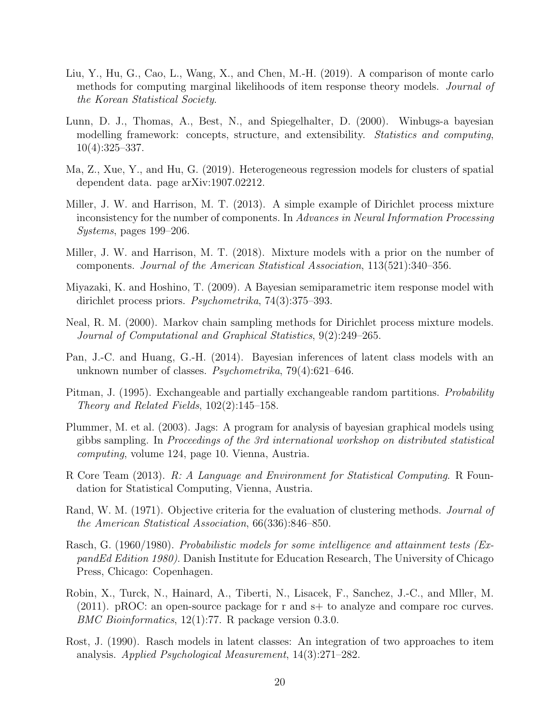- <span id="page-19-13"></span>Liu, Y., Hu, G., Cao, L., Wang, X., and Chen, M.-H. (2019). A comparison of monte carlo methods for computing marginal likelihoods of item response theory models. Journal of the Korean Statistical Society.
- <span id="page-19-8"></span>Lunn, D. J., Thomas, A., Best, N., and Spiegelhalter, D. (2000). Winbugs-a bayesian modelling framework: concepts, structure, and extensibility. Statistics and computing, 10(4):325–337.
- <span id="page-19-12"></span>Ma, Z., Xue, Y., and Hu, G. (2019). Heterogeneous regression models for clusters of spatial dependent data. page arXiv:1907.02212.
- <span id="page-19-4"></span>Miller, J. W. and Harrison, M. T. (2013). A simple example of Dirichlet process mixture inconsistency for the number of components. In Advances in Neural Information Processing Systems, pages 199–206.
- <span id="page-19-5"></span>Miller, J. W. and Harrison, M. T. (2018). Mixture models with a prior on the number of components. Journal of the American Statistical Association, 113(521):340–356.
- <span id="page-19-3"></span>Miyazaki, K. and Hoshino, T. (2009). A Bayesian semiparametric item response model with dirichlet process priors. Psychometrika, 74(3):375–393.
- <span id="page-19-14"></span>Neal, R. M. (2000). Markov chain sampling methods for Dirichlet process mixture models. Journal of Computational and Graphical Statistics, 9(2):249–265.
- <span id="page-19-2"></span>Pan, J.-C. and Huang, G.-H. (2014). Bayesian inferences of latent class models with an unknown number of classes. Psychometrika, 79(4):621–646.
- <span id="page-19-6"></span>Pitman, J. (1995). Exchangeable and partially exchangeable random partitions. *Probability* Theory and Related Fields, 102(2):145–158.
- <span id="page-19-9"></span>Plummer, M. et al. (2003). Jags: A program for analysis of bayesian graphical models using gibbs sampling. In Proceedings of the 3rd international workshop on distributed statistical computing, volume 124, page 10. Vienna, Austria.
- <span id="page-19-7"></span>R Core Team (2013). R: A Language and Environment for Statistical Computing. R Foundation for Statistical Computing, Vienna, Austria.
- <span id="page-19-11"></span>Rand, W. M. (1971). Objective criteria for the evaluation of clustering methods. *Journal of* the American Statistical Association, 66(336):846–850.
- <span id="page-19-0"></span>Rasch, G. (1960/1980). Probabilistic models for some intelligence and attainment tests (ExpandEd Edition 1980). Danish Institute for Education Research, The University of Chicago Press, Chicago: Copenhagen.
- <span id="page-19-10"></span>Robin, X., Turck, N., Hainard, A., Tiberti, N., Lisacek, F., Sanchez, J.-C., and Mller, M. (2011). pROC: an open-source package for r and s+ to analyze and compare roc curves. BMC Bioinformatics, 12(1):77. R package version 0.3.0.
- <span id="page-19-1"></span>Rost, J. (1990). Rasch models in latent classes: An integration of two approaches to item analysis. Applied Psychological Measurement, 14(3):271–282.